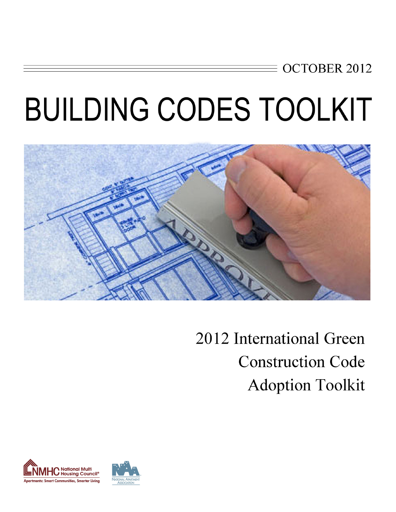## **OCTOBER 2012**

# **BUILDING CODES TOOLKIT**



2012 International Green **Construction Code Adoption Toolkit** 

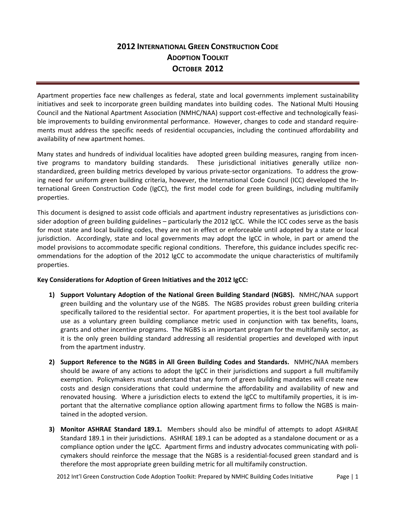### **2012 INTERNATIONAL GREEN CONSTRUCTION CODE ADOPTION TOOLKIT OCTOBER** 2012

Apartment properties face new challenges as federal, state and local governments implement sustainability initiatives and seek to incorporate green building mandates into building codes. The National Multi Housing Council and the National Apartment Association (NMHC/NAA) support cost‐effective and technologically feasi‐ ble improvements to building environmental performance. However, changes to code and standard requirements must address the specific needs of residential occupancies, including the continued affordability and availability of new apartment homes.

Many states and hundreds of individual localities have adopted green building measures, ranging from incen‐ tive programs to mandatory building standards. These jurisdictional initiatives generally utilize nonstandardized, green building metrics developed by various private‐sector organizations. To address the grow‐ ing need for uniform green building criteria, however, the International Code Council (ICC) developed the In‐ ternational Green Construction Code (IgCC), the first model code for green buildings, including multifamily properties.

This document is designed to assist code officials and apartment industry representatives as jurisdictions con‐ sider adoption of green building guidelines – particularly the 2012 IgCC. While the ICC codes serve as the basis for most state and local building codes, they are not in effect or enforceable until adopted by a state or local jurisdiction. Accordingly, state and local governments may adopt the IgCC in whole, in part or amend the model provisions to accommodate specific regional conditions. Therefore, this guidance includes specific rec‐ ommendations for the adoption of the 2012 IgCC to accommodate the unique characteristics of multifamily properties.

#### **Key Considerations for Adoption of Green Initiatives and the 2012 IgCC:**

- **1) Support Voluntary Adoption of the National Green Building Standard (NGBS).** NMHC/NAA support green building and the voluntary use of the NGBS. The NGBS provides robust green building criteria specifically tailored to the residential sector. For apartment properties, it is the best tool available for use as a voluntary green building compliance metric used in conjunction with tax benefits, loans, grants and other incentive programs. The NGBS is an important program for the multifamily sector, as it is the only green building standard addressing all residential properties and developed with input from the apartment industry.
- **2) Support Reference to the NGBS in All Green Building Codes and Standards.** NMHC/NAA members should be aware of any actions to adopt the IgCC in their jurisdictions and support a full multifamily exemption. Policymakers must understand that any form of green building mandates will create new costs and design considerations that could undermine the affordability and availability of new and renovated housing. Where a jurisdiction elects to extend the IgCC to multifamily properties, it is im‐ portant that the alternative compliance option allowing apartment firms to follow the NGBS is maintained in the adopted version.
- **3) Monitor ASHRAE Standard 189.1.** Members should also be mindful of attempts to adopt ASHRAE Standard 189.1 in their jurisdictions. ASHRAE 189.1 can be adopted as a standalone document or as a compliance option under the IgCC. Apartment firms and industry advocates communicating with poli‐ cymakers should reinforce the message that the NGBS is a residential-focused green standard and is therefore the most appropriate green building metric for all multifamily construction.

2012 Int'l Green Construction Code Adoption Toolkit: Prepared by NMHC Building Codes Initiative Page | 1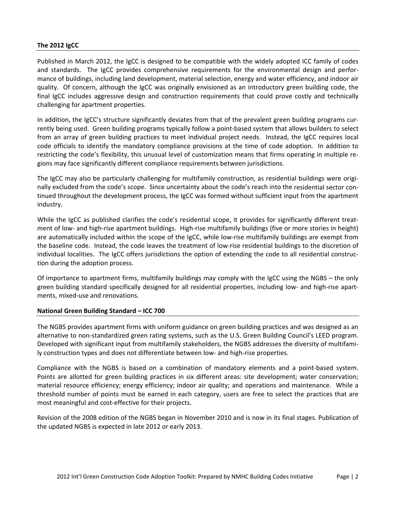#### **The 2012 IgCC**

Published in March 2012, the IgCC is designed to be compatible with the widely adopted ICC family of codes and standards. The IgCC provides comprehensive requirements for the environmental design and performance of buildings, including land development, material selection, energy and water efficiency, and indoor air quality. Of concern, although the IgCC was originally envisioned as an introductory green building code, the final IgCC includes aggressive design and construction requirements that could prove costly and technically challenging for apartment properties.

In addition, the IgCC's structure significantly deviates from that of the prevalent green building programs currently being used. Green building programs typically follow a point-based system that allows builders to select from an array of green building practices to meet individual project needs. Instead, the IgCC requires local code officials to identify the mandatory compliance provisions at the time of code adoption. In addition to restricting the code's flexibility, this unusual level of customization means that firms operating in multiple re‐ gions may face significantly different compliance requirements between jurisdictions.

The IgCC may also be particularly challenging for multifamily construction, as residential buildings were originally excluded from the code's scope. Since uncertainty about the code's reach into the residential sector con‐ tinued throughout the development process, the IgCC was formed without sufficient input from the apartment industry.

While the IgCC as published clarifies the code's residential scope, it provides for significantly different treatment of low- and high-rise apartment buildings. High-rise multifamily buildings (five or more stories in height) are automatically included within the scope of the IgCC, while low-rise multifamily buildings are exempt from the baseline code. Instead, the code leaves the treatment of low-rise residential buildings to the discretion of individual localities. The IgCC offers jurisdictions the option of extending the code to all residential construc‐ tion during the adoption process.

Of importance to apartment firms, multifamily buildings may comply with the IgCC using the NGBS – the only green building standard specifically designed for all residential properties, including low- and high-rise apartments, mixed‐use and renovations.

#### **National Green Building Standard – ICC 700**

The NGBS provides apartment firms with uniform guidance on green building practices and was designed as an alternative to non‐standardized green rating systems, such as the U.S. Green Building Council's LEED program. Developed with significant input from multifamily stakeholders, the NGBS addresses the diversity of multifamily construction types and does not differentiate between low‐ and high‐rise properties.

Compliance with the NGBS is based on a combination of mandatory elements and a point‐based system. Points are allotted for green building practices in six different areas: site development; water conservation; material resource efficiency; energy efficiency; indoor air quality; and operations and maintenance. While a threshold number of points must be earned in each category, users are free to select the practices that are most meaningful and cost‐effective for their projects.

Revision of the 2008 edition of the NGBS began in November 2010 and is now in its final stages. Publication of the updated NGBS is expected in late 2012 or early 2013.